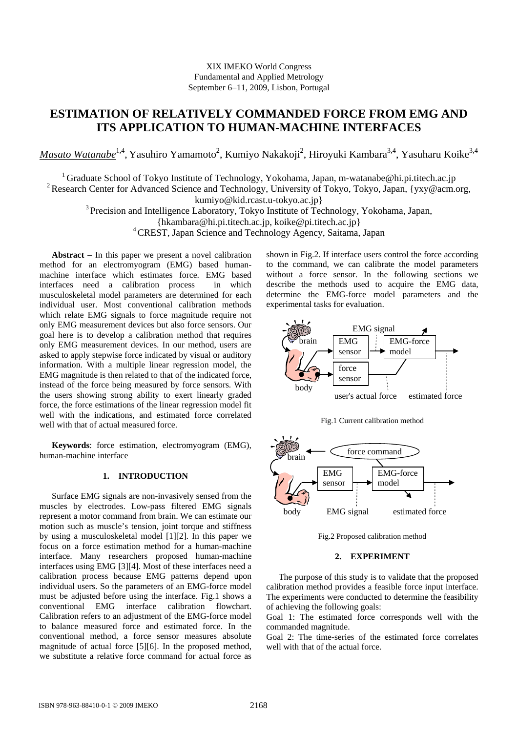# XIX IMEKO World Congress Fundamental and Applied Metrology September 6–11, 2009, Lisbon, Portugal

# **ESTIMATION OF RELATIVELY COMMANDED FORCE FROM EMG AND ITS APPLICATION TO HUMAN-MACHINE INTERFACES**

Masato Watanabe<sup>1,4</sup>, Yasuhiro Yamamoto<sup>2</sup>, Kumiyo Nakakoji<sup>2</sup>, Hiroyuki Kambara<sup>3,4</sup>, Yasuharu Koike<sup>3,4</sup>

<sup>1</sup> Graduate School of Tokyo Institute of Technology, Yokohama, Japan, m-watanabe@hi.pi.titech.ac.jp

<sup>2</sup> Research Center for Advanced Science and Technology, University of Tokyo, Tokyo, Japan, {yxy@acm.org,

kumiyo@kid.rcast.u-tokyo.ac.jp}

<sup>3</sup> Precision and Intelligence Laboratory, Tokyo Institute of Technology, Yokohama, Japan,

{hkambara@hi.pi.titech.ac.jp, koike@pi.titech.ac.jp}

4 CREST, Japan Science and Technology Agency, Saitama, Japan

Abstract  $-$  In this paper we present a novel calibration method for an electromyogram (EMG) based humanmachine interface which estimates force. EMG based interfaces need a calibration process in which musculoskeletal model parameters are determined for each individual user. Most conventional calibration methods which relate EMG signals to force magnitude require not only EMG measurement devices but also force sensors. Our goal here is to develop a calibration method that requires only EMG measurement devices. In our method, users are asked to apply stepwise force indicated by visual or auditory information. With a multiple linear regression model, the EMG magnitude is then related to that of the indicated force, instead of the force being measured by force sensors. With the users showing strong ability to exert linearly graded force, the force estimations of the linear regression model fit well with the indications, and estimated force correlated well with that of actual measured force.

**Keywords**: force estimation, electromyogram (EMG), human-machine interface

# **1. INTRODUCTION**

Surface EMG signals are non-invasively sensed from the muscles by electrodes. Low-pass filtered EMG signals represent a motor command from brain. We can estimate our motion such as muscle's tension, joint torque and stiffness by using a musculoskeletal model [1][2]. In this paper we focus on a force estimation method for a human-machine interface. Many researchers proposed human-machine interfaces using EMG [3][4]. Most of these interfaces need a calibration process because EMG patterns depend upon individual users. So the parameters of an EMG-force model must be adjusted before using the interface. Fig.1 shows a conventional EMG interface calibration flowchart. Calibration refers to an adjustment of the EMG-force model to balance measured force and estimated force. In the conventional method, a force sensor measures absolute magnitude of actual force [5][6]. In the proposed method, we substitute a relative force command for actual force as

shown in Fig.2. If interface users control the force according to the command, we can calibrate the model parameters without a force sensor. In the following sections we describe the methods used to acquire the EMG data, determine the EMG-force model parameters and the experimental tasks for evaluation.



Fig.1 Current calibration method



Fig.2 Proposed calibration method

# **2. EXPERIMENT**

The purpose of this study is to validate that the proposed calibration method provides a feasible force input interface. The experiments were conducted to determine the feasibility of achieving the following goals:

Goal 1: The estimated force corresponds well with the commanded magnitude.

Goal 2: The time-series of the estimated force correlates well with that of the actual force.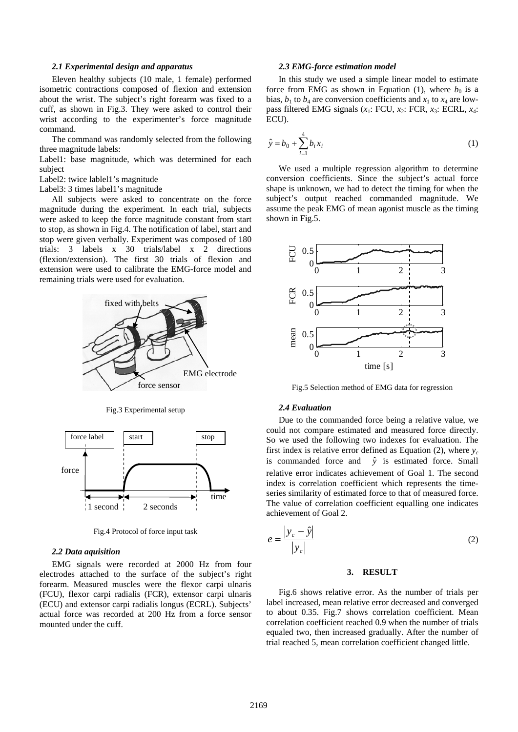#### *2.1 Experimental design and apparatus*

Eleven healthy subjects (10 male, 1 female) performed isometric contractions composed of flexion and extension about the wrist. The subject's right forearm was fixed to a cuff, as shown in Fig.3. They were asked to control their wrist according to the experimenter's force magnitude command.

The command was randomly selected from the following three magnitude labels:

Label1: base magnitude, which was determined for each subject

Label2: twice lablel1's magnitude

Label3: 3 times label1's magnitude

All subjects were asked to concentrate on the force magnitude during the experiment. In each trial, subjects were asked to keep the force magnitude constant from start to stop, as shown in Fig.4. The notification of label, start and stop were given verbally. Experiment was composed of 180 trials: 3 labels  $x$  30 trials/label  $x$  2 directions (flexion/extension). The first 30 trials of flexion and extension were used to calibrate the EMG-force model and remaining trials were used for evaluation.



Fig.3 Experimental setup



Fig.4 Protocol of force input task

## *2.2 Data aquisition*

EMG signals were recorded at 2000 Hz from four electrodes attached to the surface of the subject's right forearm. Measured muscles were the flexor carpi ulnaris (FCU), flexor carpi radialis (FCR), extensor carpi ulnaris (ECU) and extensor carpi radialis longus (ECRL). Subjects' actual force was recorded at 200 Hz from a force sensor mounted under the cuff.

#### *2.3 EMG-force estimation model*

In this study we used a simple linear model to estimate force from EMG as shown in Equation (1), where  $b_0$  is a bias,  $b_1$  to  $b_4$  are conversion coefficients and  $x_1$  to  $x_4$  are lowpass filtered EMG signals (*x*1: FCU, *x*2: FCR, *x*3: ECRL, *x*4: ECU).

$$
\hat{y} = b_0 + \sum_{i=1}^{4} b_i x_i
$$
 (1)

We used a multiple regression algorithm to determine conversion coefficients. Since the subject's actual force shape is unknown, we had to detect the timing for when the subject's output reached commanded magnitude. We assume the peak EMG of mean agonist muscle as the timing shown in Fig.5.



#### *2.4 Evaluation*

Due to the commanded force being a relative value, we could not compare estimated and measured force directly. So we used the following two indexes for evaluation. The first index is relative error defined as Equation  $(2)$ , where  $y_c$ is commanded force and  $\hat{y}$  is estimated force. Small relative error indicates achievement of Goal 1. The second index is correlation coefficient which represents the timeseries similarity of estimated force to that of measured force. The value of correlation coefficient equalling one indicates achievement of Goal 2.

$$
e = \frac{|y_c - \hat{y}|}{|y_c|} \tag{2}
$$

#### **3. RESULT**

Fig.6 shows relative error. As the number of trials per label increased, mean relative error decreased and converged to about 0.35. Fig.7 shows correlation coefficient. Mean correlation coefficient reached 0.9 when the number of trials equaled two, then increased gradually. After the number of trial reached 5, mean correlation coefficient changed little.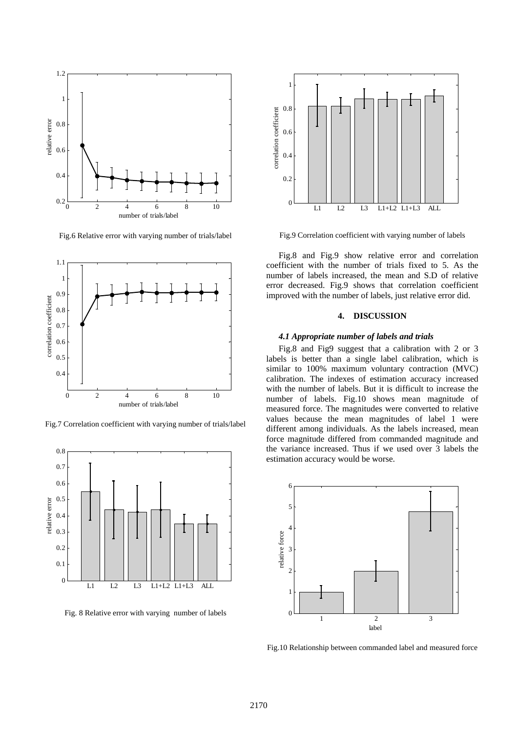

Fig.6 Relative error with varying number of trials/label



Fig.7 Correlation coefficient with varying number of trials/label



Fig. 8 Relative error with varying number of labels



Fig.9 Correlation coefficient with varying number of labels

Fig.8 and Fig.9 show relative error and correlation coefficient with the number of trials fixed to 5. As the number of labels increased, the mean and S.D of relative error decreased. Fig.9 shows that correlation coefficient improved with the number of labels, just relative error did.

# **4. DISCUSSION**

#### *4.1 Appropriate number of labels and trials*

Fig.8 and Fig9 suggest that a calibration with 2 or 3 labels is better than a single label calibration, which is similar to 100% maximum voluntary contraction (MVC) calibration. The indexes of estimation accuracy increased with the number of labels. But it is difficult to increase the number of labels. Fig.10 shows mean magnitude of measured force. The magnitudes were converted to relative values because the mean magnitudes of label 1 were different among individuals. As the labels increased, mean force magnitude differed from commanded magnitude and the variance increased. Thus if we used over 3 labels the estimation accuracy would be worse.



Fig.10 Relationship between commanded label and measured force